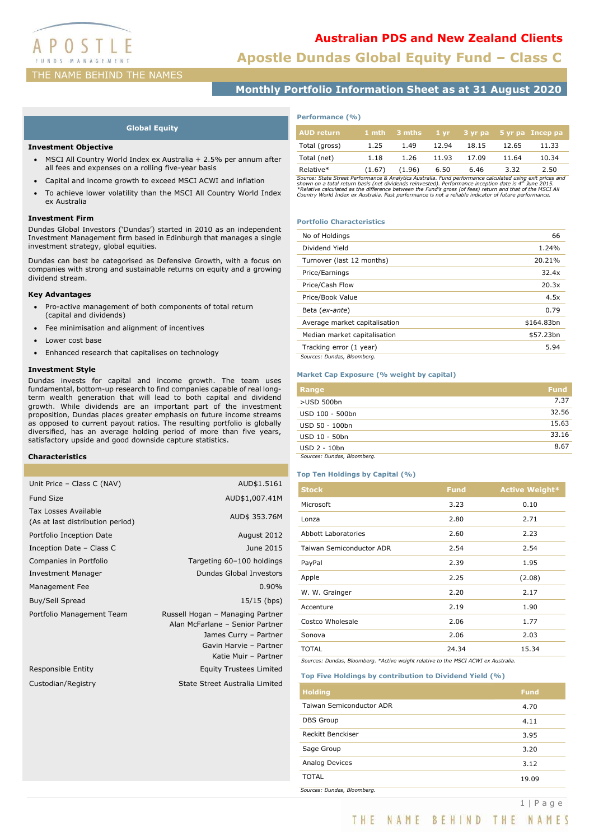

# Australian PDS and New Zealand Clients

Apostle Dundas Global Equity Fund – Class C

# THE NAME BEHIND THE NAMES

Monthly Portfolio Information Sheet as at 31 August 2020

# Global Equity

### Investment Objective

- MSCI All Country World Index ex Australia + 2.5% per annum after all fees and expenses on a rolling five-year basis
- Capital and income growth to exceed MSCI ACWI and inflation
- To achieve lower volatility than the MSCI All Country World Index ex Australia

### Investment Firm

Dundas Global Investors ('Dundas') started in 2010 as an independent Investment Management firm based in Edinburgh that manages a single investment strategy, global equities.

Dundas can best be categorised as Defensive Growth, with a focus on companies with strong and sustainable returns on equity and a growing dividend stream.

### Key Advantages

- Pro-active management of both components of total return (capital and dividends)
- Fee minimisation and alignment of incentives
- Lower cost base
- Enhanced research that capitalises on technology

# Investment Style

Dundas invests for capital and income growth. The team uses fundamental, bottom-up research to find companies capable of real longterm wealth generation that will lead to both capital and dividend growth. While dividends are an important part of the investment proposition, Dundas places greater emphasis on future income streams as opposed to current payout ratios. The resulting portfolio is globally diversified, has an average holding period of more than five years, satisfactory upside and good downside capture statistics.

# Characteristics

| Unit Price - Class C (NAV)                               | AUD\$1.5161                                                                                                                                    |
|----------------------------------------------------------|------------------------------------------------------------------------------------------------------------------------------------------------|
| <b>Fund Size</b>                                         | AUD\$1,007.41M                                                                                                                                 |
| Tax Losses Available<br>(As at last distribution period) | AUD\$ 353.76M                                                                                                                                  |
| Portfolio Inception Date                                 | August 2012                                                                                                                                    |
| Inception Date - Class C                                 | June 2015                                                                                                                                      |
| Companies in Portfolio                                   | Targeting 60-100 holdings                                                                                                                      |
| <b>Investment Manager</b>                                | Dundas Global Investors                                                                                                                        |
| Management Fee                                           | 0.90%                                                                                                                                          |
| Buy/Sell Spread                                          | $15/15$ (bps)                                                                                                                                  |
| Portfolio Management Team                                | Russell Hogan - Managing Partner<br>Alan McFarlane - Senior Partner<br>James Curry - Partner<br>Gavin Harvie - Partner<br>Katie Muir - Partner |
| Responsible Entity                                       | <b>Equity Trustees Limited</b>                                                                                                                 |
| Custodian/Registry                                       | State Street Australia Limited                                                                                                                 |

| <b>AUD return</b>                                                                                        |        | $1$ mth $3$ mths |       | 1 yr 3 yr pa 5 yr pa Incep pa |       |       |
|----------------------------------------------------------------------------------------------------------|--------|------------------|-------|-------------------------------|-------|-------|
| Total (gross)                                                                                            | 1.25   | 1.49             | 12.94 | 18.15                         | 12.65 | 11.33 |
| Total (net)                                                                                              | 1.18   | 1.26             | 11.93 | 17.09                         | 11.64 | 10.34 |
| Relative*                                                                                                | (1.67) | (1.96)           | 6.50  | 6.46                          | 3.32  | 2.50  |
| Courses Chabo Chrook Douboumana 0, Analytica Aughralia, Fund pouboumana calculated using ouit priors and |        |                  |       |                               |       |       |

Source: State Street Performance & Analytics Australia. Fund performance calculated using exit prices and<br>shown on a total return basis (net dividends reinvested). Performance inception date is 4<sup>th</sup> June 2015.<br>\*Relative c

### Portfolio Characteristics

Performance (%)

| No of Holdings                | 66         |
|-------------------------------|------------|
| Dividend Yield                | 1.24%      |
| Turnover (last 12 months)     | 20.21%     |
| Price/Earnings                | 32.4x      |
| Price/Cash Flow               | 20.3x      |
| Price/Book Value              | 4.5x       |
| Beta (ex-ante)                | 0.79       |
| Average market capitalisation | \$164.83bn |
| Median market capitalisation  | \$57.23bn  |
| Tracking error (1 year)       | 5.94       |
| Sources: Dundas, Bloomberg.   |            |

### Market Cap Exposure (% weight by capital)

| Range                       | <b>Fund</b> |
|-----------------------------|-------------|
| >USD 500bn                  | 7.37        |
| USD 100 - 500bn             | 32.56       |
| USD 50 - 100bn              | 15.63       |
| USD 10 - 50bn               | 33.16       |
| $USD$ 2 - 10 $bn$           | 8.67        |
| Sources: Dundas, Bloomberg. |             |

## Top Ten Holdings by Capital (%)

| <b>Stock</b>                    | <b>Fund</b> | <b>Active Weight*</b> |
|---------------------------------|-------------|-----------------------|
| Microsoft                       | 3.23        | 0.10                  |
| Lonza                           | 2.80        | 2.71                  |
| Abbott Laboratories             | 2.60        | 2.23                  |
| <b>Taiwan Semiconductor ADR</b> | 2.54        | 2.54                  |
| PayPal                          | 2.39        | 1.95                  |
| Apple                           | 2.25        | (2.08)                |
| W. W. Grainger                  | 2.20        | 2.17                  |
| Accenture                       | 2.19        | 1.90                  |
| Costco Wholesale                | 2.06        | 1.77                  |
| Sonova                          | 2.06        | 2.03                  |
| <b>TOTAL</b>                    | 24.34       | 15.34                 |

Sources: Dundas, Bloomberg. \*Active weight relative to the MSCI ACWI ex Australia.

### Top Five Holdings by contribution to Dividend Yield (%)

| <b>Holding</b>              | <b>Fund</b> |
|-----------------------------|-------------|
| Taiwan Semiconductor ADR    | 4.70        |
| <b>DBS</b> Group            | 4.11        |
| <b>Reckitt Benckiser</b>    | 3.95        |
| Sage Group                  | 3.20        |
| Analog Devices              | 3.12        |
| TOTAL                       | 19.09       |
| Sources: Dundas, Bloomberg. |             |

THE NAME BEHIND THE NAMES

1 | P a g e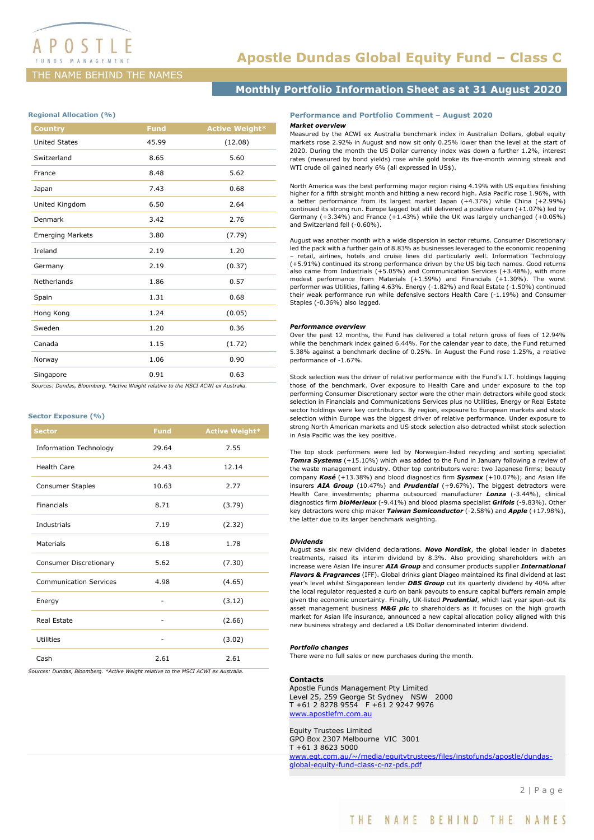# THE NAME BEHIND THE NAMES

# Apostle Dundas Global Equity Fund – Class C

# Monthly Portfolio Information Sheet as at 31 August 2020

## Regional Allocation (%)

| <b>Country</b>          | Fund  | <b>Active Weight*</b> |
|-------------------------|-------|-----------------------|
| <b>United States</b>    | 45.99 | (12.08)               |
| Switzerland             | 8.65  | 5.60                  |
| France                  | 8.48  | 5.62                  |
| Japan                   | 7.43  | 0.68                  |
| United Kingdom          | 6.50  | 2.64                  |
| Denmark                 | 3.42  | 2.76                  |
| <b>Emerging Markets</b> | 3.80  | (7.79)                |
| Ireland                 | 2.19  | 1.20                  |
| Germany                 | 2.19  | (0.37)                |
| Netherlands             | 1.86  | 0.57                  |
| Spain                   | 1.31  | 0.68                  |
| Hong Kong               | 1.24  | (0.05)                |
| Sweden                  | 1.20  | 0.36                  |
| Canada                  | 1.15  | (1.72)                |
| Norway                  | 1.06  | 0.90                  |
| Singapore               | 0.91  | 0.63                  |

Sources: Dundas, Bloomberg. \*Active Weight relative to the MSCI ACWI ex Australia.

### Sector Exposure (%)

| <b>Sector</b>                 | <b>Fund</b> | <b>Active Weight*</b> |
|-------------------------------|-------------|-----------------------|
| <b>Information Technology</b> | 29.64       | 7.55                  |
| <b>Health Care</b>            | 24.43       | 12.14                 |
| <b>Consumer Staples</b>       | 10.63       | 2.77                  |
| Financials                    | 8.71        | (3.79)                |
| <b>Industrials</b>            | 7.19        | (2.32)                |
| Materials                     | 6.18        | 1.78                  |
| Consumer Discretionary        | 5.62        | (7.30)                |
| <b>Communication Services</b> | 4.98        | (4.65)                |
| Energy                        |             | (3.12)                |
| Real Estate                   |             | (2.66)                |
| Utilities                     |             | (3.02)                |
| Cash                          | 2.61        | 2.61                  |

Sources: Dundas, Bloomberg. \*Active Weight relative to the MSCI ACWI ex Australia.

## Performance and Portfolio Comment – August 2020 Market overview

Measured by the ACWI ex Australia benchmark index in Australian Dollars, global equity markets rose 2.92% in August and now sit only 0.25% lower than the level at the start of 2020. During the month the US Dollar currency index was down a further 1.2%, interest rates (measured by bond yields) rose while gold broke its five-month winning streak and WTI crude oil gained nearly 6% (all expressed in US\$).

North America was the best performing major region rising 4.19% with US equities finishing higher for a fifth straight month and hitting a new record high. Asia Pacific rose 1.96%, with a better performance from its largest market Japan (+4.37%) while China (+2.99%) continued its strong run. Europe lagged but still delivered a positive return (+1.07%) led by Germany (+3.34%) and France (+1.43%) while the UK was largely unchanged (+0.05%) and Switzerland fell (-0.60%).

August was another month with a wide dispersion in sector returns. Consumer Discretionary led the pack with a further gain of 8.83% as businesses leveraged to the economic reopening – retail, airlines, hotels and cruise lines did particularly well. Information Technology (+5.91%) continued its strong performance driven by the US big tech names. Good returns also came from Industrials (+5.05%) and Communication Services (+3.48%), with more modest performance from Materials (+1.59%) and Financials (+1.30%). The worst performer was Utilities, falling 4.63%. Energy (-1.82%) and Real Estate (-1.50%) continued their weak performance run while defensive sectors Health Care (-1.19%) and Consumer Staples (-0.36%) also lagged.

### Performance overview

Over the past 12 months, the Fund has delivered a total return gross of fees of 12.94% while the benchmark index gained 6.44%. For the calendar year to date, the Fund returned 5.38% against a benchmark decline of 0.25%. In August the Fund rose 1.25%, a relative performance of -1.67%.

Stock selection was the driver of relative performance with the Fund's I.T. holdings lagging those of the benchmark. Over exposure to Health Care and under exposure to the top performing Consumer Discretionary sector were the other main detractors while good stock selection in Financials and Communications Services plus no Utilities, Energy or Real Estate sector holdings were key contributors. By region, exposure to European markets and stock selection within Europe was the biggest driver of relative performance. Under exposure to strong North American markets and US stock selection also detracted whilst stock selection in Asia Pacific was the key positive.

The top stock performers were led by Norwegian-listed recycling and sorting specialist Tomra Systems (+15.10%) which was added to the Fund in January following a review of the waste management industry. Other top contributors were: two Japanese firms; beauty company Kosé (+13.38%) and blood diagnostics firm Sysmex (+10.07%); and Asian life insurers AIA Group (10.47%) and Prudential (+9.67%). The biggest detractors were Health Care investments; pharma outsourced manufacturer Lonza (-3.44%), clinical diagnostics firm **bioMerieux** (-9.41%) and blood plasma specialist **Grifols** (-9.83%). Other key detractors were chip maker **Taiwan Semiconductor** (-2.58%) and **Apple** (+17.98%), the latter due to its larger benchmark weighting.

#### Dividends

August saw six new dividend declarations. **Novo Nordisk**, the global leader in diabetes treatments, raised its interim dividend by 8.3%. Also providing shareholders with an increase were Asian life insurer AIA Group and consumer products supplier International Flavors & Fragrances (IFF). Global drinks giant Diageo maintained its final dividend at last year's level whilst Singaporean lender **DBS Group** cut its quarterly dividend by 40% after the local regulator requested a curb on bank payouts to ensure capital buffers remain ample given the economic uncertainty. Finally, UK-listed **Prudential**, which last year spun-out its asset management business **M&G** pic to shareholders as it focuses on the high growth market for Asian life insurance, announced a new capital allocation policy aligned with this new business strategy and declared a US Dollar denominated interim dividend.

#### Portfolio changes

There were no full sales or new purchases during the month.

### **Contacts**

Apostle Funds Management Pty Limited Level 25, 259 George St Sydney NSW 2000 T +61 2 8278 9554 F +61 2 9247 9976 www.apostlefm.com.au

Equity Trustees Limited GPO Box 2307 Melbourne VIC 3001 T +61 3 8623 5000 www.eqt.com.au/~/media/equitytrustees/files/instofunds/apostle/dundasglobal-equity-fund-class-c-nz-pds.pdf

2 | P a g e